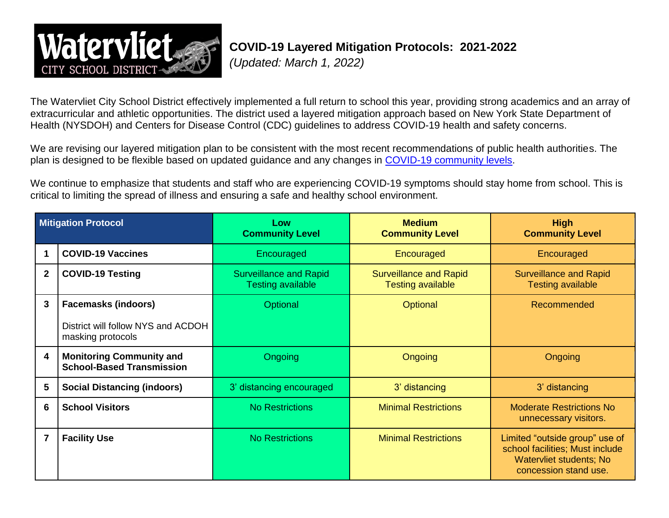

## **COVID-19 Layered Mitigation Protocols: 2021-2022**

*(Updated: March 1, 2022)*

The Watervliet City School District effectively implemented a full return to school this year, providing strong academics and an array of extracurricular and athletic opportunities. The district used a layered mitigation approach based on New York State Department of Health (NYSDOH) and Centers for Disease Control (CDC) guidelines to address COVID-19 health and safety concerns.

We are revising our layered mitigation plan to be consistent with the most recent recommendations of public health authorities. The plan is designed to be flexible based on updated guidance and any changes in [COVID-19 community levels.](https://www.cdc.gov/coronavirus/2019-ncov/science/community-levels.html)

We continue to emphasize that students and staff who are experiencing COVID-19 symptoms should stay home from school. This is critical to limiting the spread of illness and ensuring a safe and healthy school environment.

| <b>Mitigation Protocol</b> |                                                                     | Low<br><b>Community Level</b>                             | <b>Medium</b><br><b>Community Level</b>                   | <b>High</b><br><b>Community Level</b>                                                                                 |  |
|----------------------------|---------------------------------------------------------------------|-----------------------------------------------------------|-----------------------------------------------------------|-----------------------------------------------------------------------------------------------------------------------|--|
|                            | <b>COVID-19 Vaccines</b>                                            | Encouraged                                                | Encouraged                                                | Encouraged                                                                                                            |  |
| $\mathbf{2}$               | <b>COVID-19 Testing</b>                                             | <b>Surveillance and Rapid</b><br><b>Testing available</b> | <b>Surveillance and Rapid</b><br><b>Testing available</b> | <b>Surveillance and Rapid</b><br><b>Testing available</b>                                                             |  |
| 3                          | <b>Facemasks (indoors)</b>                                          | Optional                                                  | Optional                                                  | <b>Recommended</b>                                                                                                    |  |
|                            | District will follow NYS and ACDOH<br>masking protocols             |                                                           |                                                           |                                                                                                                       |  |
| 4                          | <b>Monitoring Community and</b><br><b>School-Based Transmission</b> | Ongoing                                                   | Ongoing                                                   | Ongoing                                                                                                               |  |
| 5                          | <b>Social Distancing (indoors)</b>                                  | 3' distancing encouraged                                  | 3' distancing                                             | 3' distancing                                                                                                         |  |
| 6                          | <b>School Visitors</b>                                              | <b>No Restrictions</b>                                    | <b>Minimal Restrictions</b>                               | <b>Moderate Restrictions No</b><br>unnecessary visitors.                                                              |  |
|                            | <b>Facility Use</b>                                                 | <b>No Restrictions</b>                                    | <b>Minimal Restrictions</b>                               | Limited "outside group" use of<br>school facilities; Must include<br>Watervliet students; No<br>concession stand use. |  |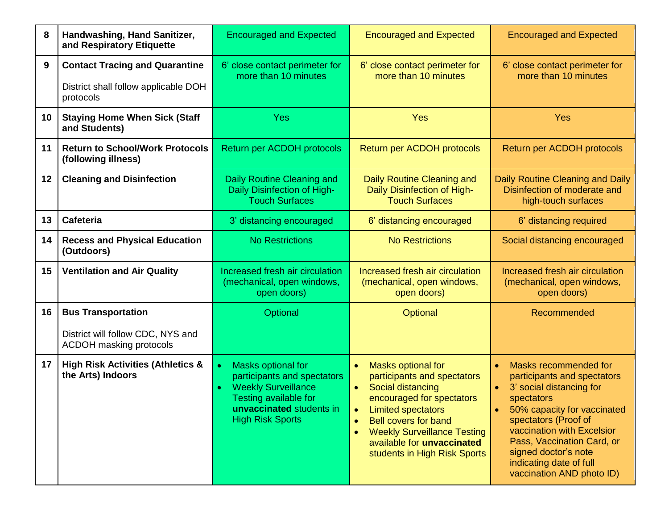| 8  | Handwashing, Hand Sanitizer,<br>and Respiratory Etiquette                                  | <b>Encouraged and Expected</b>                                                                                                                                  | <b>Encouraged and Expected</b>                                                                                                                                                                                                                                                                                                       | <b>Encouraged and Expected</b>                                                                                                                                                                                                                                                                                                           |  |
|----|--------------------------------------------------------------------------------------------|-----------------------------------------------------------------------------------------------------------------------------------------------------------------|--------------------------------------------------------------------------------------------------------------------------------------------------------------------------------------------------------------------------------------------------------------------------------------------------------------------------------------|------------------------------------------------------------------------------------------------------------------------------------------------------------------------------------------------------------------------------------------------------------------------------------------------------------------------------------------|--|
| 9  | <b>Contact Tracing and Quarantine</b><br>District shall follow applicable DOH<br>protocols | 6' close contact perimeter for<br>more than 10 minutes                                                                                                          | 6' close contact perimeter for<br>more than 10 minutes                                                                                                                                                                                                                                                                               | 6' close contact perimeter for<br>more than 10 minutes                                                                                                                                                                                                                                                                                   |  |
| 10 | <b>Staying Home When Sick (Staff</b><br>and Students)                                      | <b>Yes</b>                                                                                                                                                      | <b>Yes</b>                                                                                                                                                                                                                                                                                                                           | Yes                                                                                                                                                                                                                                                                                                                                      |  |
| 11 | <b>Return to School/Work Protocols</b><br>(following illness)                              | Return per ACDOH protocols                                                                                                                                      | Return per ACDOH protocols                                                                                                                                                                                                                                                                                                           | Return per ACDOH protocols                                                                                                                                                                                                                                                                                                               |  |
| 12 | <b>Cleaning and Disinfection</b>                                                           | Daily Routine Cleaning and<br>Daily Disinfection of High-<br><b>Touch Surfaces</b>                                                                              | Daily Routine Cleaning and<br>Daily Disinfection of High-<br><b>Touch Surfaces</b>                                                                                                                                                                                                                                                   | Daily Routine Cleaning and Daily<br>Disinfection of moderate and<br>high-touch surfaces                                                                                                                                                                                                                                                  |  |
| 13 | Cafeteria                                                                                  | 3' distancing encouraged                                                                                                                                        | 6' distancing encouraged                                                                                                                                                                                                                                                                                                             | 6' distancing required                                                                                                                                                                                                                                                                                                                   |  |
| 14 | <b>Recess and Physical Education</b><br>(Outdoors)                                         | <b>No Restrictions</b>                                                                                                                                          | <b>No Restrictions</b>                                                                                                                                                                                                                                                                                                               | Social distancing encouraged                                                                                                                                                                                                                                                                                                             |  |
| 15 | <b>Ventilation and Air Quality</b>                                                         | Increased fresh air circulation<br>(mechanical, open windows,<br>open doors)                                                                                    | Increased fresh air circulation<br>(mechanical, open windows,<br>open doors)                                                                                                                                                                                                                                                         | Increased fresh air circulation<br>(mechanical, open windows,<br>open doors)                                                                                                                                                                                                                                                             |  |
| 16 | <b>Bus Transportation</b>                                                                  | <b>Optional</b>                                                                                                                                                 | Optional                                                                                                                                                                                                                                                                                                                             | Recommended                                                                                                                                                                                                                                                                                                                              |  |
|    | District will follow CDC, NYS and<br><b>ACDOH masking protocols</b>                        |                                                                                                                                                                 |                                                                                                                                                                                                                                                                                                                                      |                                                                                                                                                                                                                                                                                                                                          |  |
| 17 | <b>High Risk Activities (Athletics &amp;</b><br>the Arts) Indoors                          | Masks optional for<br>participants and spectators<br><b>Weekly Surveillance</b><br>Testing available for<br>unvaccinated students in<br><b>High Risk Sports</b> | Masks optional for<br>$\bullet$<br>participants and spectators<br>Social distancing<br>$\bullet$<br>encouraged for spectators<br><b>Limited spectators</b><br>$\bullet$<br><b>Bell covers for band</b><br>$\bullet$<br><b>Weekly Surveillance Testing</b><br>$\bullet$<br>available for unvaccinated<br>students in High Risk Sports | Masks recommended for<br>$\bullet$<br>participants and spectators<br>3' social distancing for<br>$\bullet$<br>spectators<br>50% capacity for vaccinated<br>$\bullet$<br>spectators (Proof of<br>vaccination with Excelsior<br>Pass, Vaccination Card, or<br>signed doctor's note<br>indicating date of full<br>vaccination AND photo ID) |  |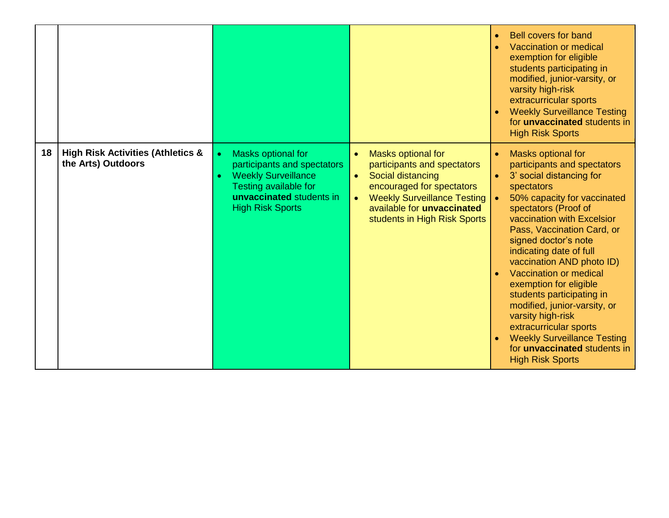|    |                                                                    |                                                                                                                                                                 |                                                                                                                                                                                                                                                              | <b>Bell covers for band</b><br>$\bullet$<br>Vaccination or medical<br>$\bullet$<br>exemption for eligible<br>students participating in<br>modified, junior-varsity, or<br>varsity high-risk<br>extracurricular sports<br><b>Weekly Surveillance Testing</b><br>for <b>unvaccinated</b> students in<br><b>High Risk Sports</b>                                                                                                                                                                                                                                                                                 |
|----|--------------------------------------------------------------------|-----------------------------------------------------------------------------------------------------------------------------------------------------------------|--------------------------------------------------------------------------------------------------------------------------------------------------------------------------------------------------------------------------------------------------------------|---------------------------------------------------------------------------------------------------------------------------------------------------------------------------------------------------------------------------------------------------------------------------------------------------------------------------------------------------------------------------------------------------------------------------------------------------------------------------------------------------------------------------------------------------------------------------------------------------------------|
| 18 | <b>High Risk Activities (Athletics &amp;</b><br>the Arts) Outdoors | Masks optional for<br>participants and spectators<br><b>Weekly Surveillance</b><br>Testing available for<br>unvaccinated students in<br><b>High Risk Sports</b> | <b>Masks optional for</b><br>$\bullet$<br>participants and spectators<br>Social distancing<br>$\bullet$<br>encouraged for spectators<br><b>Weekly Surveillance Testing</b><br>$\bullet$<br>available for <b>unvaccinated</b><br>students in High Risk Sports | Masks optional for<br>$\bullet$<br>participants and spectators<br>3' social distancing for<br>spectators<br>50% capacity for vaccinated<br>spectators (Proof of<br>vaccination with Excelsior<br>Pass, Vaccination Card, or<br>signed doctor's note<br>indicating date of full<br>vaccination AND photo ID)<br>Vaccination or medical<br>$\bullet$<br>exemption for eligible<br>students participating in<br>modified, junior-varsity, or<br>varsity high-risk<br>extracurricular sports<br><b>Weekly Surveillance Testing</b><br>$\bullet$<br>for <b>unvaccinated</b> students in<br><b>High Risk Sports</b> |